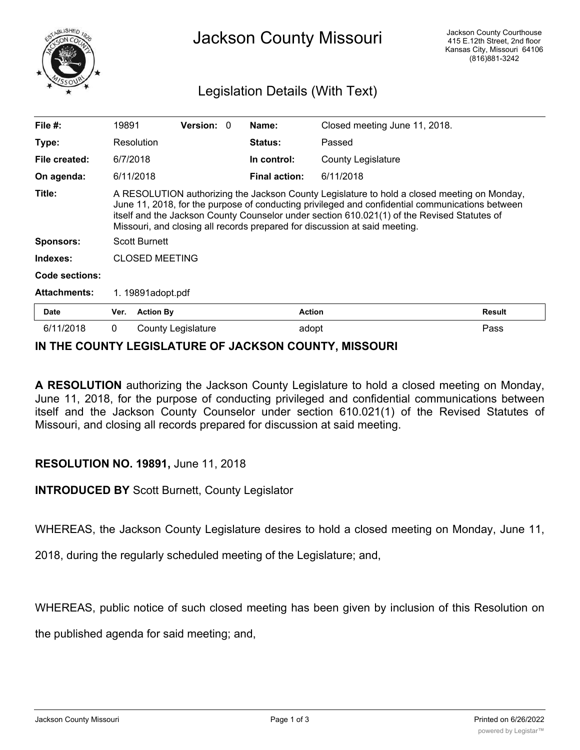

## Jackson County Missouri

## Legislation Details (With Text)

| File $#$ :            | 19891                                                                                                                                                                                                                                                                                                                                                                       |                    | <b>Version: 0</b> |  | Name:                | Closed meeting June 11, 2018. |               |
|-----------------------|-----------------------------------------------------------------------------------------------------------------------------------------------------------------------------------------------------------------------------------------------------------------------------------------------------------------------------------------------------------------------------|--------------------|-------------------|--|----------------------|-------------------------------|---------------|
| Type:                 |                                                                                                                                                                                                                                                                                                                                                                             | Resolution         |                   |  | <b>Status:</b>       | Passed                        |               |
| File created:         | 6/7/2018                                                                                                                                                                                                                                                                                                                                                                    |                    |                   |  | In control:          | <b>County Legislature</b>     |               |
| On agenda:            |                                                                                                                                                                                                                                                                                                                                                                             | 6/11/2018          |                   |  | <b>Final action:</b> | 6/11/2018                     |               |
| Title:                | A RESOLUTION authorizing the Jackson County Legislature to hold a closed meeting on Monday,<br>June 11, 2018, for the purpose of conducting privileged and confidential communications between<br>itself and the Jackson County Counselor under section 610.021(1) of the Revised Statutes of<br>Missouri, and closing all records prepared for discussion at said meeting. |                    |                   |  |                      |                               |               |
| <b>Sponsors:</b>      | <b>Scott Burnett</b>                                                                                                                                                                                                                                                                                                                                                        |                    |                   |  |                      |                               |               |
| Indexes:              | <b>CLOSED MEETING</b>                                                                                                                                                                                                                                                                                                                                                       |                    |                   |  |                      |                               |               |
| <b>Code sections:</b> |                                                                                                                                                                                                                                                                                                                                                                             |                    |                   |  |                      |                               |               |
| <b>Attachments:</b>   |                                                                                                                                                                                                                                                                                                                                                                             | 1. 19891adopt.pdf  |                   |  |                      |                               |               |
| <b>Date</b>           | Ver.                                                                                                                                                                                                                                                                                                                                                                        | <b>Action By</b>   |                   |  | Action               |                               | <b>Result</b> |
| 6/11/2018             | $\mathbf{0}$                                                                                                                                                                                                                                                                                                                                                                | County Legislature |                   |  | adopt                |                               | Pass          |

## **IN THE COUNTY LEGISLATURE OF JACKSON COUNTY, MISSOURI**

**A RESOLUTION** authorizing the Jackson County Legislature to hold a closed meeting on Monday, June 11, 2018, for the purpose of conducting privileged and confidential communications between itself and the Jackson County Counselor under section 610.021(1) of the Revised Statutes of Missouri, and closing all records prepared for discussion at said meeting.

## **RESOLUTION NO. 19891,** June 11, 2018

**INTRODUCED BY** Scott Burnett, County Legislator

WHEREAS, the Jackson County Legislature desires to hold a closed meeting on Monday, June 11,

2018, during the regularly scheduled meeting of the Legislature; and,

WHEREAS, public notice of such closed meeting has been given by inclusion of this Resolution on

the published agenda for said meeting; and,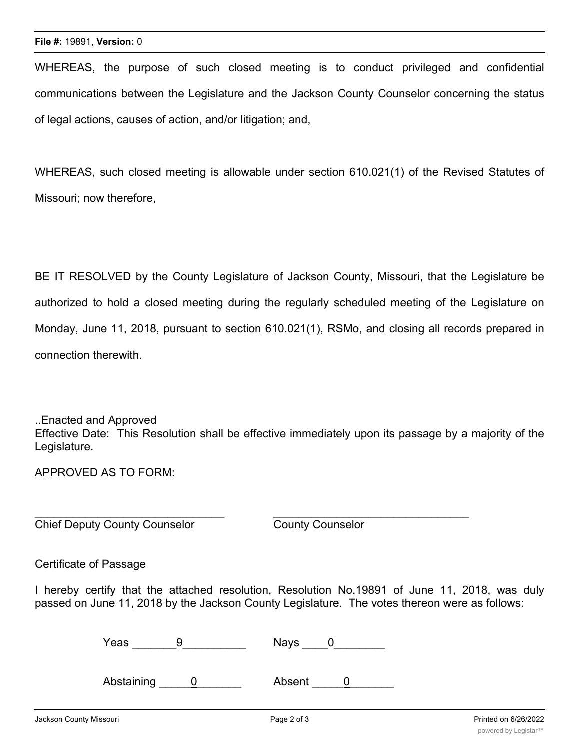WHEREAS, the purpose of such closed meeting is to conduct privileged and confidential communications between the Legislature and the Jackson County Counselor concerning the status of legal actions, causes of action, and/or litigation; and,

WHEREAS, such closed meeting is allowable under section 610.021(1) of the Revised Statutes of Missouri; now therefore,

BE IT RESOLVED by the County Legislature of Jackson County, Missouri, that the Legislature be authorized to hold a closed meeting during the regularly scheduled meeting of the Legislature on Monday, June 11, 2018, pursuant to section 610.021(1), RSMo, and closing all records prepared in connection therewith.

..Enacted and Approved Effective Date: This Resolution shall be effective immediately upon its passage by a majority of the Legislature.

APPROVED AS TO FORM:

Chief Deputy County Counselor County Counselor

Certificate of Passage

I hereby certify that the attached resolution, Resolution No.19891 of June 11, 2018, was duly passed on June 11, 2018 by the Jackson County Legislature. The votes thereon were as follows:

| Yeas |  | Nays<br>$ -$ |  |  |
|------|--|--------------|--|--|
|------|--|--------------|--|--|

 $\mathcal{L}_\text{max}$  , and the contribution of the contribution of the contribution of the contribution of the contribution of the contribution of the contribution of the contribution of the contribution of the contribution of t

Abstaining 0 Absent 0